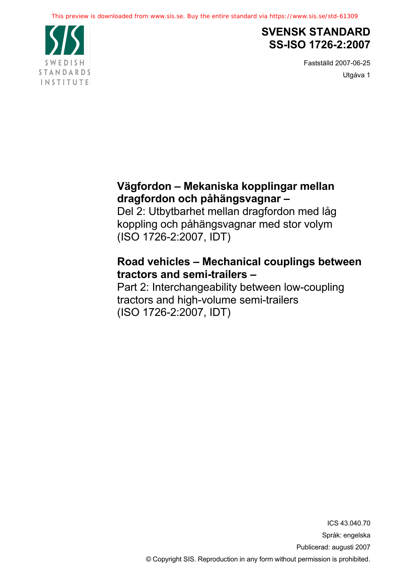

# **SVENSK STANDARD SS-ISO 1726-2:2007**

Fastställd 2007-06-25 Utgåva 1

# **Vägfordon – Mekaniska kopplingar mellan dragfordon och påhängsvagnar –**

Del 2: Utbytbarhet mellan dragfordon med låg koppling och påhängsvagnar med stor volym (ISO 1726-2:2007, IDT)

# **Road vehicles – Mechanical couplings between tractors and semi-trailers –**

Part 2: Interchangeability between low-coupling tractors and high-volume semi-trailers (ISO 1726-2:2007, IDT)

> ICS 43.040.70 Språk: engelska Publicerad: augusti 2007 © Copyright SIS. Reproduction in any form without permission is prohibited.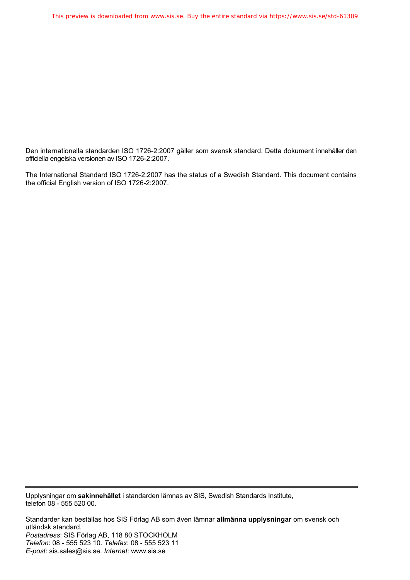Den internationella standarden ISO 1726-2:2007 gäller som svensk standard. Detta dokument innehåller den officiella engelska versionen av ISO 1726-2:2007.

The International Standard ISO 1726-2:2007 has the status of a Swedish Standard. This document contains the official English version of ISO 1726-2:2007.

Upplysningar om **sakinnehållet** i standarden lämnas av SIS, Swedish Standards Institute, telefon 08 - 555 520 00.

Standarder kan beställas hos SIS Förlag AB som även lämnar **allmänna upplysningar** om svensk och utländsk standard. *Postadress*: SIS Förlag AB, 118 80 STOCKHOLM *Telefon*: 08 - 555 523 10. *Telefax*: 08 - 555 523 11 *E-post*: sis.sales@sis.se. *Internet*: www.sis.se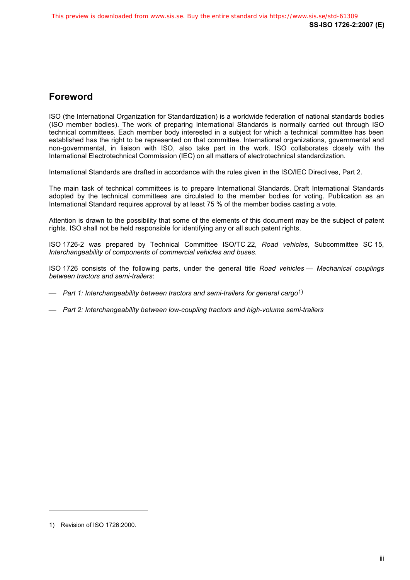## **Foreword**

ISO (the International Organization for Standardization) is a worldwide federation of national standards bodies (ISO member bodies). The work of preparing International Standards is normally carried out through ISO technical committees. Each member body interested in a subject for which a technical committee has been established has the right to be represented on that committee. International organizations, governmental and non-governmental, in liaison with ISO, also take part in the work. ISO collaborates closely with the International Electrotechnical Commission (IEC) on all matters of electrotechnical standardization.

International Standards are drafted in accordance with the rules given in the ISO/IEC Directives, Part 2.

The main task of technical committees is to prepare International Standards. Draft International Standards adopted by the technical committees are circulated to the member bodies for voting. Publication as an International Standard requires approval by at least 75 % of the member bodies casting a vote.

Attention is drawn to the possibility that some of the elements of this document may be the subject of patent rights. ISO shall not be held responsible for identifying any or all such patent rights.

ISO 1726-2 was prepared by Technical Committee ISO/TC 22, *Road vehicles*, Subcommittee SC 15, *Interchangeability of components of commercial vehicles and buses*.

ISO 1726 consists of the following parts, under the general title *Road vehicles — Mechanical couplings between tractors and semi-trailers*:

- *Part 1: Interchangeability between tractors and semi-trailers for general cargo*1)
- *Part 2: Interchangeability between low-coupling tractors and high-volume semi-trailers*

 $\overline{a}$ 

<sup>1)</sup> Revision of ISO 1726:2000.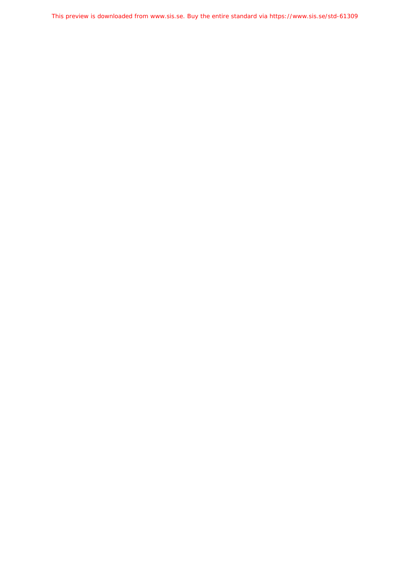This preview is downloaded from www.sis.se. Buy the entire standard via https://www.sis.se/std-61309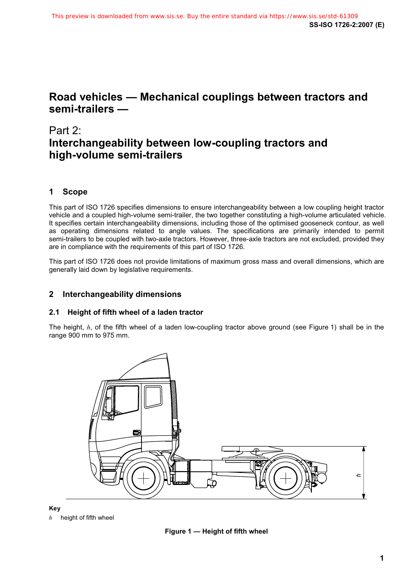## **Road vehicles — Mechanical couplings between tractors and semi-trailers —**

## Part 2: **Interchangeability between low-coupling tractors and high-volume semi-trailers**

## **1 Scope**

This part of ISO 1726 specifies dimensions to ensure interchangeability between a low coupling height tractor vehicle and a coupled high-volume semi-trailer, the two together constituting a high-volume articulated vehicle. It specifies certain interchangeability dimensions, including those of the optimised gooseneck contour, as well as operating dimensions related to angle values. The specifications are primarily intended to permit semi-trailers to be coupled with two-axle tractors. However, three-axle tractors are not excluded, provided they are in compliance with the requirements of this part of ISO 1726.

This part of ISO 1726 does not provide limitations of maximum gross mass and overall dimensions, which are generally laid down by legislative requirements.

### **2 Interchangeability dimensions**

### **2.1 Height of fifth wheel of a laden tractor**

The height, *h*, of the fifth wheel of a laden low-coupling tractor above ground (see Figure 1) shall be in the range 900 mm to 975 mm.



#### **Key**

*h* height of fifth wheel

**Figure 1 — Height of fifth wheel**